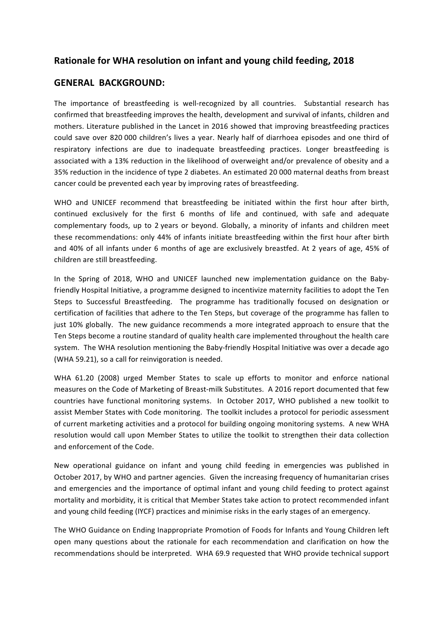## **Rationale for WHA resolution on infant and young child feeding, 2018**

## **GENERAL BACKGROUND:**

The importance of breastfeeding is well-recognized by all countries. Substantial research has confirmed that breastfeeding improves the health, development and survival of infants, children and mothers. Literature published in the Lancet in 2016 showed that improving breastfeeding practices could save over 820 000 children's lives a year. Nearly half of diarrhoea episodes and one third of respiratory infections are due to inadequate breastfeeding practices. Longer breastfeeding is associated with a 13% reduction in the likelihood of overweight and/or prevalence of obesity and a 35% reduction in the incidence of type 2 diabetes. An estimated 20 000 maternal deaths from breast cancer could be prevented each year by improving rates of breastfeeding.

WHO and UNICEF recommend that breastfeeding be initiated within the first hour after birth, continued exclusively for the first 6 months of life and continued, with safe and adequate complementary foods, up to 2 years or beyond. Globally, a minority of infants and children meet these recommendations: only 44% of infants initiate breastfeeding within the first hour after birth and 40% of all infants under 6 months of age are exclusively breastfed. At 2 years of age, 45% of children are still breastfeeding.

In the Spring of 2018, WHO and UNICEF launched new implementation guidance on the Babyfriendly Hospital Initiative, a programme designed to incentivize maternity facilities to adopt the Ten Steps to Successful Breastfeeding. The programme has traditionally focused on designation or certification of facilities that adhere to the Ten Steps, but coverage of the programme has fallen to just 10% globally. The new guidance recommends a more integrated approach to ensure that the Ten Steps become a routine standard of quality health care implemented throughout the health care system. The WHA resolution mentioning the Baby-friendly Hospital Initiative was over a decade ago (WHA 59.21), so a call for reinvigoration is needed.

WHA 61.20 (2008) urged Member States to scale up efforts to monitor and enforce national measures on the Code of Marketing of Breast-milk Substitutes. A 2016 report documented that few countries have functional monitoring systems. In October 2017, WHO published a new toolkit to assist Member States with Code monitoring. The toolkit includes a protocol for periodic assessment of current marketing activities and a protocol for building ongoing monitoring systems. A new WHA resolution would call upon Member States to utilize the toolkit to strengthen their data collection and enforcement of the Code.

New operational guidance on infant and young child feeding in emergencies was published in October 2017, by WHO and partner agencies. Given the increasing frequency of humanitarian crises and emergencies and the importance of optimal infant and young child feeding to protect against mortality and morbidity, it is critical that Member States take action to protect recommended infant and young child feeding (IYCF) practices and minimise risks in the early stages of an emergency.

The WHO Guidance on Ending Inappropriate Promotion of Foods for Infants and Young Children left open many questions about the rationale for each recommendation and clarification on how the recommendations should be interpreted. WHA 69.9 requested that WHO provide technical support